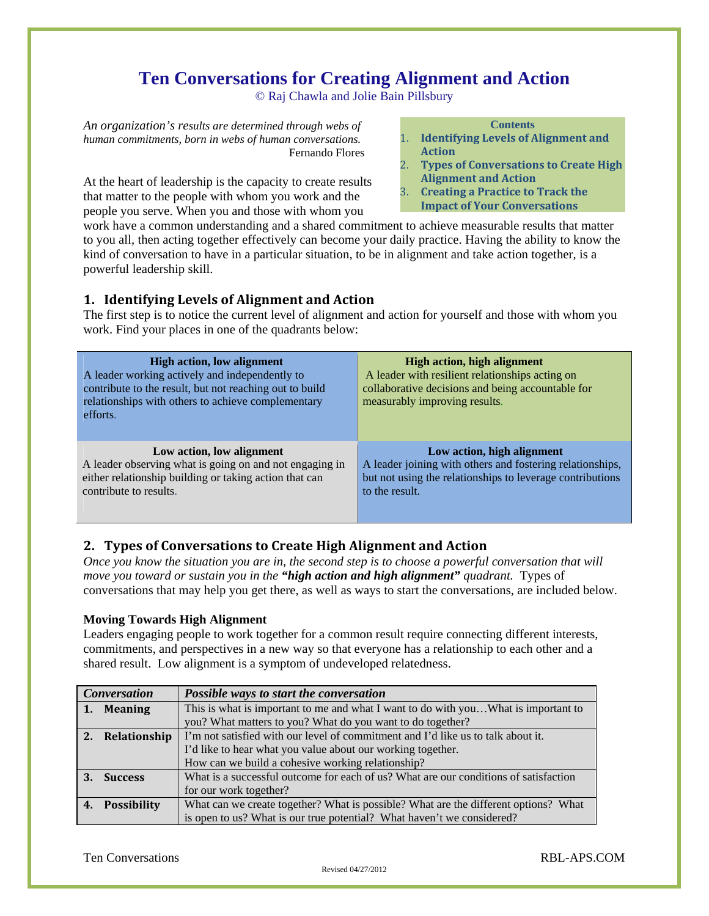# **Ten Conversations for Creating Alignment and Action**

© Raj Chawla and Jolie Bain Pillsbury

*An organization's results are determined through webs of human commitments, born in webs of human conversations.*  Fernando Flores

At the heart of leadership is the capacity to create results that matter to the people with whom you work and the people you serve. When you and those with whom you

#### **Contents**

- 1. **Identifying Levels of Alignment and Action**
- 2. **Types of Conversations to Create High Alignment and Action**
- 3. **Creating a Practice to Track the**
- **Impact of Your Conversations**

work have a common understanding and a shared commitment to achieve measurable results that matter to you all, then acting together effectively can become your daily practice. Having the ability to know the kind of conversation to have in a particular situation, to be in alignment and take action together, is a powerful leadership skill.

## **1. Identifying Levels of Alignment and Action**

The first step is to notice the current level of alignment and action for yourself and those with whom you work. Find your places in one of the quadrants below:

| <b>High action, low alignment</b><br>A leader working actively and independently to<br>contribute to the result, but not reaching out to build<br>relationships with others to achieve complementary<br>efforts. | <b>High action, high alignment</b><br>A leader with resilient relationships acting on<br>collaborative decisions and being accountable for<br>measurably improving results. |
|------------------------------------------------------------------------------------------------------------------------------------------------------------------------------------------------------------------|-----------------------------------------------------------------------------------------------------------------------------------------------------------------------------|
| Low action, low alignment                                                                                                                                                                                        | Low action, high alignment                                                                                                                                                  |
| A leader observing what is going on and not engaging in                                                                                                                                                          | A leader joining with others and fostering relationships,                                                                                                                   |
| either relationship building or taking action that can                                                                                                                                                           | but not using the relationships to leverage contributions                                                                                                                   |
| contribute to results.                                                                                                                                                                                           | to the result.                                                                                                                                                              |

# **2. Types of Conversations to Create High Alignment and Action**

*Once you know the situation you are in, the second step is to choose a powerful conversation that will move you toward or sustain you in the "high action and high alignment" quadrant.* Types of conversations that may help you get there, as well as ways to start the conversations, are included below.

## **Moving Towards High Alignment**

Leaders engaging people to work together for a common result require connecting different interests, commitments, and perspectives in a new way so that everyone has a relationship to each other and a shared result. Low alignment is a symptom of undeveloped relatedness.

| <b>Conversation</b> |                    | Possible ways to start the conversation                                              |
|---------------------|--------------------|--------------------------------------------------------------------------------------|
|                     | 1. Meaning         | This is what is important to me and what I want to do with youWhat is important to   |
|                     |                    | you? What matters to you? What do you want to do together?                           |
|                     | 2. Relationship    | I'm not satisfied with our level of commitment and I'd like us to talk about it.     |
|                     |                    | I'd like to hear what you value about our working together.                          |
|                     |                    | How can we build a cohesive working relationship?                                    |
|                     | <b>Success</b>     | What is a successful outcome for each of us? What are our conditions of satisfaction |
|                     |                    | for our work together?                                                               |
|                     | <b>Possibility</b> | What can we create together? What is possible? What are the different options? What  |
|                     |                    | is open to us? What is our true potential? What haven't we considered?               |

Revised 04/27/2012